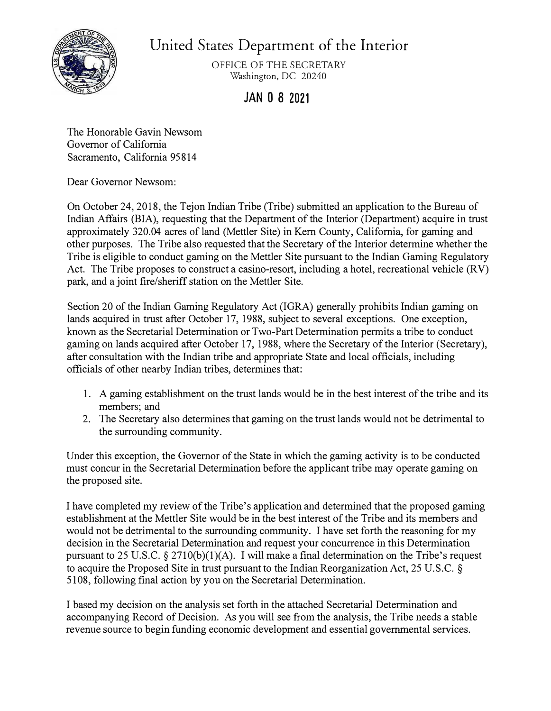

United States Department of the Interior

OFFICE OF THE SECRETARY Washington, DC 20240

## **JAN O 8 2021**

The Honorable Gavin Newsom Governor of California Sacramento, California 95 814

Dear Governor Newsom:

On October 24, 2018, the Tejon Indian Tribe (Tribe) submitted an application to the Bureau of Indian Affairs (BIA), requesting that the Department of the Interior (Department) acquire in trust approximately 320.04 acres of land (Mettler Site) in Kem County, California, for gaming and other purposes. The Tribe also requested that the Secretary of the Interior determine whether the Tribe is eligible to conduct gaming on the Mettler Site pursuant to the Indian Gaming Regulatory Act. The Tribe proposes to construct a casino-resort, including a hotel, recreational vehicle (RV) park, and a joint fire/sheriff station on the Mettler Site.

Section 20 of the Indian Gaming Regulatory Act (IGRA) generally prohibits Indian gaming on lands acquired in trust after October 17, 1988, subject to several exceptions. One exception, known as the Secretarial Determination or Two-Part Determination permits a tribe to conduct gaming on lands acquired after October 17, 1988, where the Secretary of the Interior (Secretary), after consultation with the Indian tribe and appropriate State and local officials, including officials of other nearby Indian tribes, determines that:

- 1. A gaming establishment on the trust lands would be in the best interest of the tribe and its members; and
- 2. The Secretary also determines that gaming on the trust lands would not be detrimental to the surrounding community.

Under this exception, the Governor of the State in which the gaming activity is to be conducted must concur in the Secretarial Determination before the applicant tribe may operate gaming on the proposed site.

I have completed my review of the Tribe's application and determined that the proposed gaming establishment at the Mettler Site would be in the best interest of the Tribe and its members and would not be detrimental to the surrounding community. I have set forth the reasoning for my decision in the Secretarial Determination and request your concurrence in this Determination pursuant to 25 U.S.C.  $\S 2710(b)(1)(A)$ . I will make a final determination on the Tribe's request to acquire the Proposed Site in trust pursuant to the Indian Reorganization Act, 25 U.S.C. § 5108, following final action by you on the Secretarial Determination.

I based my decision on the analysis set forth in the attached Secretarial Determination and accompanying Record of Decision. As you will see from the analysis, the Tribe needs a stable revenue source to begin funding economic development and essential governmental services.